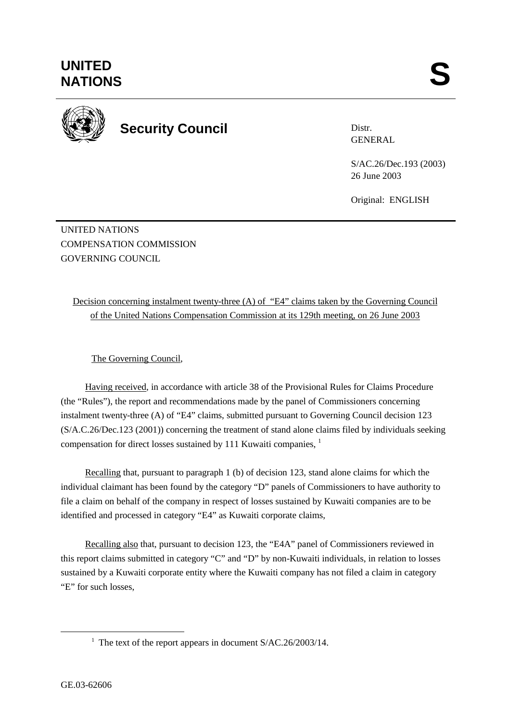

**Security Council** 

Distr. GENERAL

S/AC.26/Dec.193 (2003) 26 June 2003

Original: ENGLISH

UNITED NATIONS COMPENSATION COMMISSION GOVERNING COUNCIL

Decision concerning instalment twenty-three (A) of "E4" claims taken by the Governing Council of the United Nations Compensation Commission at its 129th meeting, on 26 June 2003

The Governing Council,

Having received, in accordance with article 38 of the Provisional Rules for Claims Procedure (the "Rules"), the report and recommendations made by the panel of Commissioners concerning instalment twenty-three (A) of "E4" claims, submitted pursuant to Governing Council decision 123 (S/A.C.26/Dec.123 (2001)) concerning the treatment of stand alone claims filed by individuals seeking compensation for direct losses sustained by 111 Kuwaiti companies, <sup>1</sup>

Recalling that, pursuant to paragraph 1 (b) of decision 123, stand alone claims for which the individual claimant has been found by the category "D" panels of Commissioners to have authority to file a claim on behalf of the company in respect of losses sustained by Kuwaiti companies are to be identified and processed in category "E4" as Kuwaiti corporate claims,

Recalling also that, pursuant to decision 123, the "E4A" panel of Commissioners reviewed in this report claims submitted in category "C" and "D" by non-Kuwaiti individuals, in relation to losses sustained by a Kuwaiti corporate entity where the Kuwaiti company has not filed a claim in category "E" for such losses,

<sup>&</sup>lt;u>1</u> <sup>1</sup> The text of the report appears in document  $S/AC.26/2003/14$ .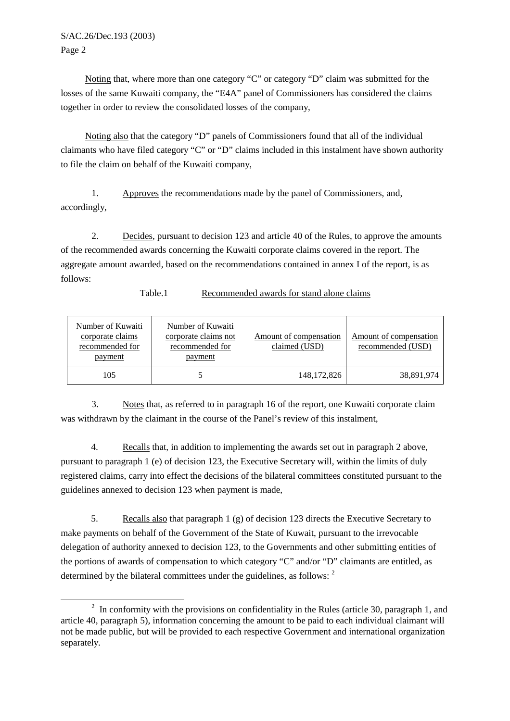## S/AC.26/Dec.193 (2003) Page 2

Noting that, where more than one category "C" or category "D" claim was submitted for the losses of the same Kuwaiti company, the "E4A" panel of Commissioners has considered the claims together in order to review the consolidated losses of the company,

Noting also that the category "D" panels of Commissioners found that all of the individual claimants who have filed category "C" or "D" claims included in this instalment have shown authority to file the claim on behalf of the Kuwaiti company,

1. Approves the recommendations made by the panel of Commissioners, and, accordingly,

2. Decides, pursuant to decision 123 and article 40 of the Rules, to approve the amounts of the recommended awards concerning the Kuwaiti corporate claims covered in the report. The aggregate amount awarded, based on the recommendations contained in annex I of the report, is as follows:

Table.1 Recommended awards for stand alone claims

| <b>Number of Kuwaiti</b><br>corporate claims<br>recommended for<br>payment | Number of Kuwaiti<br>corporate claims not<br>recommended for<br>payment | Amount of compensation<br>claimed (USD) | Amount of compensation<br>recommended (USD) |
|----------------------------------------------------------------------------|-------------------------------------------------------------------------|-----------------------------------------|---------------------------------------------|
| 105                                                                        |                                                                         | 148, 172, 826                           | 38,891,974                                  |

3. Notes that, as referred to in paragraph 16 of the report, one Kuwaiti corporate claim was withdrawn by the claimant in the course of the Panel's review of this instalment,

4. Recalls that, in addition to implementing the awards set out in paragraph 2 above, pursuant to paragraph 1 (e) of decision 123, the Executive Secretary will, within the limits of duly registered claims, carry into effect the decisions of the bilateral committees constituted pursuant to the guidelines annexed to decision 123 when payment is made,

5. Recalls also that paragraph 1 (g) of decision 123 directs the Executive Secretary to make payments on behalf of the Government of the State of Kuwait, pursuant to the irrevocable delegation of authority annexed to decision 123, to the Governments and other submitting entities of the portions of awards of compensation to which category "C" and/or "D" claimants are entitled, as determined by the bilateral committees under the guidelines, as follows: <sup>2</sup>

 $\overline{\phantom{a}}$  $\frac{1}{2}$  In conformity with the provisions on confidentiality in the Rules (article 30, paragraph 1, and article 40, paragraph 5), information concerning the amount to be paid to each individual claimant will not be made public, but will be provided to each respective Government and international organization separately.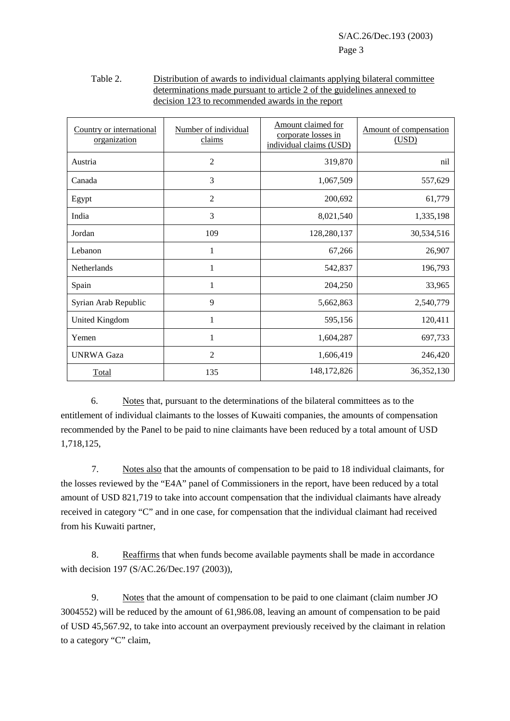## Table 2. Distribution of awards to individual claimants applying bilateral committee determinations made pursuant to article 2 of the guidelines annexed to decision 123 to recommended awards in the report

| Country or international<br>organization | Number of individual<br>claims | Amount claimed for<br>corporate losses in<br>individual claims (USD) | Amount of compensation<br>(USD) |
|------------------------------------------|--------------------------------|----------------------------------------------------------------------|---------------------------------|
| Austria                                  | $\mathfrak{2}$                 | 319,870                                                              | nil                             |
| Canada                                   | 3                              | 1,067,509                                                            | 557,629                         |
| Egypt                                    | 2                              | 200,692                                                              | 61,779                          |
| India                                    | 3                              | 8,021,540                                                            | 1,335,198                       |
| Jordan                                   | 109                            | 128,280,137                                                          | 30,534,516                      |
| Lebanon                                  | 1                              | 67,266                                                               | 26,907                          |
| Netherlands                              |                                | 542,837                                                              | 196,793                         |
| Spain                                    | 1                              | 204,250                                                              | 33,965                          |
| Syrian Arab Republic                     | 9                              | 5,662,863                                                            | 2,540,779                       |
| United Kingdom                           | 1                              | 595,156                                                              | 120,411                         |
| Yemen                                    | 1                              | 1,604,287                                                            | 697,733                         |
| <b>UNRWA Gaza</b>                        | $\mathfrak{2}$                 | 1,606,419                                                            | 246,420                         |
| Total                                    | 135                            | 148, 172, 826                                                        | 36, 352, 130                    |

6. Notes that, pursuant to the determinations of the bilateral committees as to the entitlement of individual claimants to the losses of Kuwaiti companies, the amounts of compensation recommended by the Panel to be paid to nine claimants have been reduced by a total amount of USD 1,718,125,

 7. Notes also that the amounts of compensation to be paid to 18 individual claimants, for the losses reviewed by the "E4A" panel of Commissioners in the report, have been reduced by a total amount of USD 821,719 to take into account compensation that the individual claimants have already received in category "C" and in one case, for compensation that the individual claimant had received from his Kuwaiti partner,

8. Reaffirms that when funds become available payments shall be made in accordance with decision 197 (S/AC.26/Dec.197 (2003)),

9. Notes that the amount of compensation to be paid to one claimant (claim number JO 3004552) will be reduced by the amount of 61,986.08, leaving an amount of compensation to be paid of USD 45,567.92, to take into account an overpayment previously received by the claimant in relation to a category "C" claim,